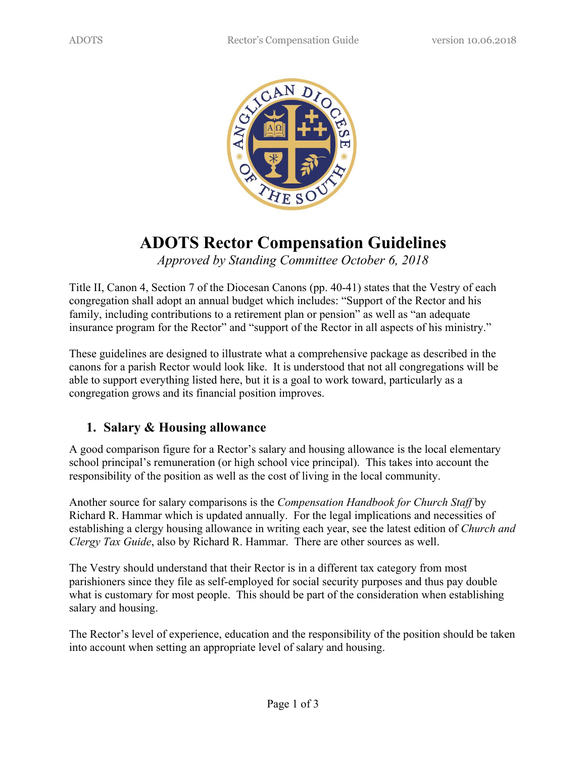

# **ADOTS Rector Compensation Guidelines**

*Approved by Standing Committee October 6, 2018*

Title II, Canon 4, Section 7 of the Diocesan Canons (pp. 40-41) states that the Vestry of each congregation shall adopt an annual budget which includes: "Support of the Rector and his family, including contributions to a retirement plan or pension" as well as "an adequate insurance program for the Rector" and "support of the Rector in all aspects of his ministry."

These guidelines are designed to illustrate what a comprehensive package as described in the canons for a parish Rector would look like. It is understood that not all congregations will be able to support everything listed here, but it is a goal to work toward, particularly as a congregation grows and its financial position improves.

#### **1. Salary & Housing allowance**

A good comparison figure for a Rector's salary and housing allowance is the local elementary school principal's remuneration (or high school vice principal). This takes into account the responsibility of the position as well as the cost of living in the local community.

Another source for salary comparisons is the *Compensation Handbook for Church Staff* by Richard R. Hammar which is updated annually. For the legal implications and necessities of establishing a clergy housing allowance in writing each year, see the latest edition of *Church and Clergy Tax Guide*, also by Richard R. Hammar. There are other sources as well.

The Vestry should understand that their Rector is in a different tax category from most parishioners since they file as self-employed for social security purposes and thus pay double what is customary for most people. This should be part of the consideration when establishing salary and housing.

The Rector's level of experience, education and the responsibility of the position should be taken into account when setting an appropriate level of salary and housing.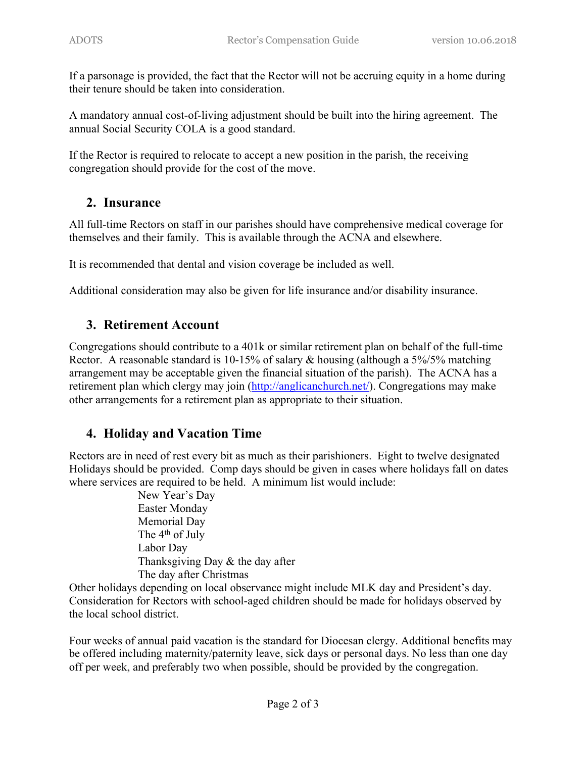If a parsonage is provided, the fact that the Rector will not be accruing equity in a home during their tenure should be taken into consideration.

A mandatory annual cost-of-living adjustment should be built into the hiring agreement. The annual Social Security COLA is a good standard.

If the Rector is required to relocate to accept a new position in the parish, the receiving congregation should provide for the cost of the move.

# **2. Insurance**

All full-time Rectors on staff in our parishes should have comprehensive medical coverage for themselves and their family. This is available through the ACNA and elsewhere.

It is recommended that dental and vision coverage be included as well.

Additional consideration may also be given for life insurance and/or disability insurance.

## **3. Retirement Account**

Congregations should contribute to a 401k or similar retirement plan on behalf of the full-time Rector. A reasonable standard is 10-15% of salary & housing (although a 5%/5% matching arrangement may be acceptable given the financial situation of the parish). The ACNA has a retirement plan which clergy may join (http://anglicanchurch.net/). Congregations may make other arrangements for a retirement plan as appropriate to their situation.

# **4. Holiday and Vacation Time**

Rectors are in need of rest every bit as much as their parishioners. Eight to twelve designated Holidays should be provided. Comp days should be given in cases where holidays fall on dates where services are required to be held. A minimum list would include:

> New Year's Day Easter Monday Memorial Day The 4<sup>th</sup> of July Labor Day Thanksgiving Day & the day after The day after Christmas

Other holidays depending on local observance might include MLK day and President's day. Consideration for Rectors with school-aged children should be made for holidays observed by the local school district.

Four weeks of annual paid vacation is the standard for Diocesan clergy. Additional benefits may be offered including maternity/paternity leave, sick days or personal days. No less than one day off per week, and preferably two when possible, should be provided by the congregation.